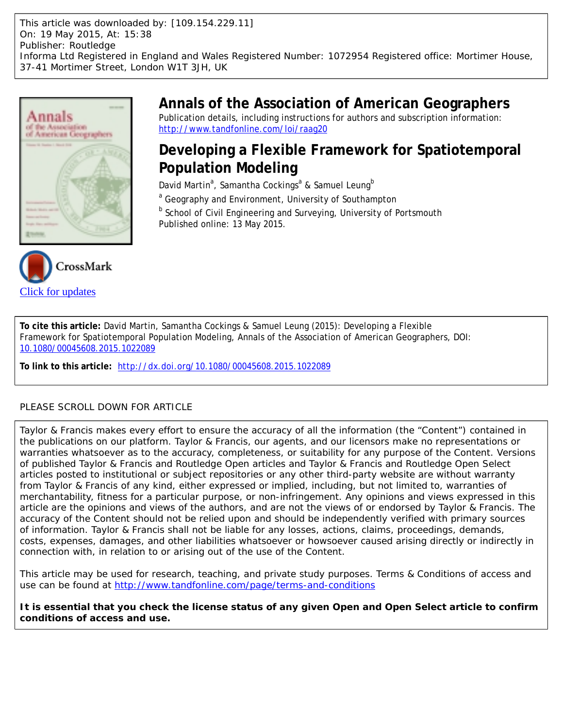This article was downloaded by: [109.154.229.11] On: 19 May 2015, At: 15:38 Publisher: Routledge Informa Ltd Registered in England and Wales Registered Number: 1072954 Registered office: Mortimer House, 37-41 Mortimer Street, London W1T 3JH, UK





**Annals of the Association of American Geographers**

Publication details, including instructions for authors and subscription information: <http://www.tandfonline.com/loi/raag20>

## **Developing a Flexible Framework for Spatiotemporal Population Modeling**

David Martin<sup>a</sup>, Samantha Cockings<sup>a</sup> & Samuel Leung<sup>b</sup>

<sup>a</sup> Geography and Environment, University of Southampton

**b** School of Civil Engineering and Surveying, University of Portsmouth Published online: 13 May 2015.

**To cite this article:** David Martin, Samantha Cockings & Samuel Leung (2015): Developing a Flexible Framework for Spatiotemporal Population Modeling, Annals of the Association of American Geographers, DOI: [10.1080/00045608.2015.1022089](http://www.tandfonline.com/action/showCitFormats?doi=10.1080/00045608.2015.1022089)

**To link to this article:** <http://dx.doi.org/10.1080/00045608.2015.1022089>

## PLEASE SCROLL DOWN FOR ARTICLE

Taylor & Francis makes every effort to ensure the accuracy of all the information (the "Content") contained in the publications on our platform. Taylor & Francis, our agents, and our licensors make no representations or warranties whatsoever as to the accuracy, completeness, or suitability for any purpose of the Content. Versions of published Taylor & Francis and Routledge Open articles and Taylor & Francis and Routledge Open Select articles posted to institutional or subject repositories or any other third-party website are without warranty from Taylor & Francis of any kind, either expressed or implied, including, but not limited to, warranties of merchantability, fitness for a particular purpose, or non-infringement. Any opinions and views expressed in this article are the opinions and views of the authors, and are not the views of or endorsed by Taylor & Francis. The accuracy of the Content should not be relied upon and should be independently verified with primary sources of information. Taylor & Francis shall not be liable for any losses, actions, claims, proceedings, demands, costs, expenses, damages, and other liabilities whatsoever or howsoever caused arising directly or indirectly in connection with, in relation to or arising out of the use of the Content.

This article may be used for research, teaching, and private study purposes. Terms & Conditions of access and use can be found at <http://www.tandfonline.com/page/terms-and-conditions>

**It is essential that you check the license status of any given Open and Open Select article to confirm conditions of access and use.**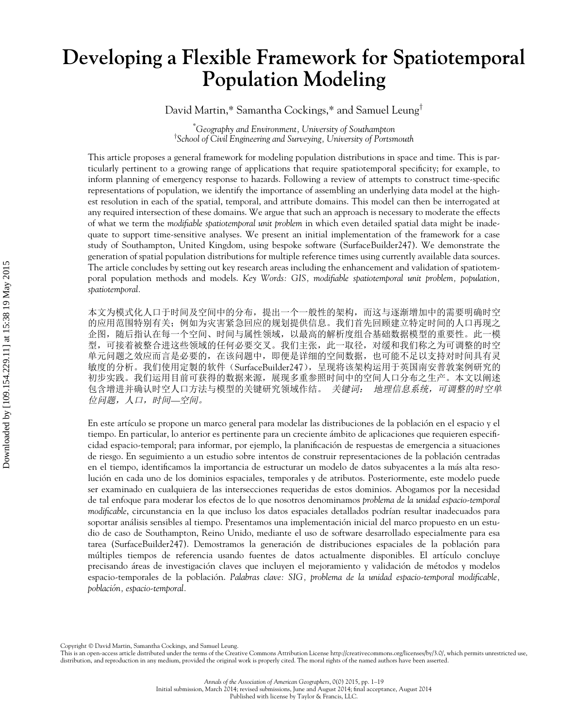# Developing a Flexible Framework for Spatiotemporal Population Modeling

David Martin,\* Samantha Cockings,\* and Samuel Leung<sup>†</sup>

\* Geography and Environment, University of Southampton <sup>T</sup>School of Civil Engineering and Surveying, University of Portsmouth

This article proposes a general framework for modeling population distributions in space and time. This is particularly pertinent to a growing range of applications that require spatiotemporal specificity; for example, to inform planning of emergency response to hazards. Following a review of attempts to construct time-specific representations of population, we identify the importance of assembling an underlying data model at the highest resolution in each of the spatial, temporal, and attribute domains. This model can then be interrogated at any required intersection of these domains. We argue that such an approach is necessary to moderate the effects of what we term the modifiable spatiotemporal unit problem in which even detailed spatial data might be inadequate to support time-sensitive analyses. We present an initial implementation of the framework for a case study of Southampton, United Kingdom, using bespoke software (SurfaceBuilder247). We demonstrate the generation of spatial population distributions for multiple reference times using currently available data sources. The article concludes by setting out key research areas including the enhancement and validation of spatiotemporal population methods and models. Key Words: GIS, modifiable spatiotemporal unit problem, population, spatiotemporal.

本文为模式化人口于时间及空间中的分布,提出一个一般性的架构,而这与逐渐增加中的需要明确时空 的应用范围特别有关;例如为灾害紧急回应的规划提供信息。我们首先回顾建立特定时间的人口再现之 企图,随后指认在每一个空间、时间与属性领域,以最高的解析度组合基础数据模型的重要性。此一模 型,可接着被整合进这些领域的任何必要交叉。我们主张,此一取径,对缓和我们称之为可调整的时空 单元问题之效应而言是必要的,在该问题中,即便是详细的空间数据,也可能不足以支持对时间具有灵 敏度的分析。我们使用定製的软件(SurfaceBuilder247),呈现将该架构运用于英国南安普敦案例研究的 初步实践。我们运用目前可获得的数据来源,展现多重参照时间中的空间人口分布之生产。本文以阐述 包含增进并确认时空人口方法与模型的关键研究领域作结。关键词: 地理信息系统, 可调整的时空单 位问题,人口,时间—空间。

En este artículo se propone un marco general para modelar las distribuciones de la población en el espacio y el tiempo. En particular, lo anterior es pertinente para un creciente ambito de aplicaciones que requieren especificidad espacio-temporal; para informar, por ejemplo, la planificacion de respuestas de emergencia a situaciones de riesgo. En seguimiento a un estudio sobre intentos de construir representaciones de la poblacion centradas en el tiempo, identificamos la importancia de estructurar un modelo de datos subyacentes a la mas alta resolución en cada uno de los dominios espaciales, temporales y de atributos. Posteriormente, este modelo puede ser examinado en cualquiera de las intersecciones requeridas de estos dominios. Abogamos por la necesidad de tal enfoque para moderar los efectos de lo que nosotros denominamos problema de la unidad espacio-temporal modificable, circunstancia en la que incluso los datos espaciales detallados podrían resultar inadecuados para soportar análisis sensibles al tiempo. Presentamos una implementación inicial del marco propuesto en un estudio de caso de Southampton, Reino Unido, mediante el uso de software desarrollado especialmente para esa tarea (SurfaceBuilder247). Demostramos la generacion de distribuciones espaciales de la poblacion para multiples tiempos de referencia usando fuentes de datos actualmente disponibles. El artıculo concluye precisando áreas de investigación claves que incluyen el mejoramiento y validación de métodos y modelos espacio-temporales de la poblacion. Palabras clave: SIG, problema de la unidad espacio-temporal modificable, poblacion, espacio-temporal.

This is an open-access article distributed under the terms of the Creative Commons Attribution License http://creativecommons.org/licenses/by/3.0/, which permits unrestricted use, distribution, and reproduction in any medium, provided the original work is properly cited. The moral rights of the named authors have been asserted.

Annals of the Association of American Geographers, 0(0) 2015, pp. 1–19

Initial submission, March 2014; revised submissions, June and August 2014; final acceptance, August 2014

Published with license by Taylor & Francis, LLC.

Copyright © David Martin, Samantha Cockings, and Samuel Leung.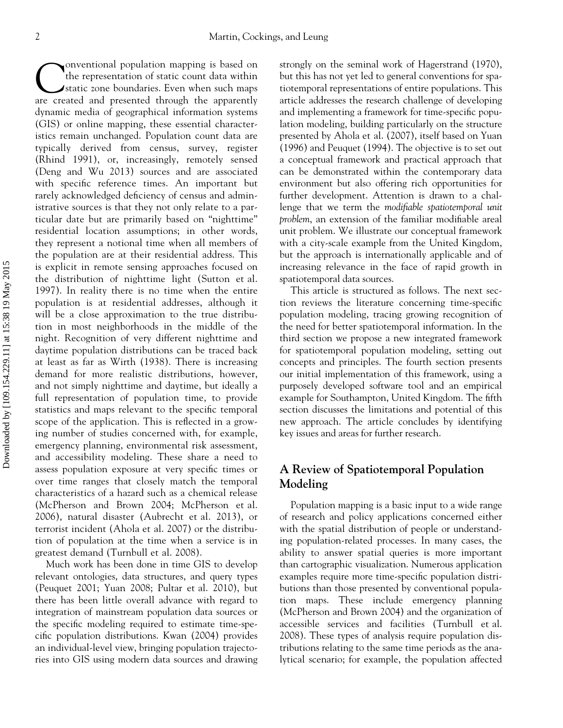Conventional population mapping is based on<br>the representation of static count data within<br>static zone boundaries. Even when such maps<br>are created and presented through the apparently the representation of static count data within static zone boundaries. Even when such maps are created and presented through the apparently dynamic media of geographical information systems (GIS) or online mapping, these essential characteristics remain unchanged. Population count data are typically derived from census, survey, register (Rhind 1991), or, increasingly, remotely sensed (Deng and Wu 2013) sources and are associated with specific reference times. An important but rarely acknowledged deficiency of census and administrative sources is that they not only relate to a particular date but are primarily based on "nighttime" residential location assumptions; in other words, they represent a notional time when all members of the population are at their residential address. This is explicit in remote sensing approaches focused on the distribution of nighttime light (Sutton et al. 1997). In reality there is no time when the entire population is at residential addresses, although it will be a close approximation to the true distribution in most neighborhoods in the middle of the night. Recognition of very different nighttime and daytime population distributions can be traced back at least as far as Wirth (1938). There is increasing demand for more realistic distributions, however, and not simply nighttime and daytime, but ideally a full representation of population time, to provide statistics and maps relevant to the specific temporal scope of the application. This is reflected in a growing number of studies concerned with, for example, emergency planning, environmental risk assessment, and accessibility modeling. These share a need to assess population exposure at very specific times or over time ranges that closely match the temporal characteristics of a hazard such as a chemical release (McPherson and Brown 2004; McPherson et al. 2006), natural disaster (Aubrecht et al. 2013), or terrorist incident (Ahola et al. 2007) or the distribution of population at the time when a service is in greatest demand (Turnbull et al. 2008).

Much work has been done in time GIS to develop relevant ontologies, data structures, and query types (Peuquet 2001; Yuan 2008; Pultar et al. 2010), but there has been little overall advance with regard to integration of mainstream population data sources or the specific modeling required to estimate time-specific population distributions. Kwan (2004) provides an individual-level view, bringing population trajectories into GIS using modern data sources and drawing strongly on the seminal work of Hagerstrand (1970), but this has not yet led to general conventions for spatiotemporal representations of entire populations. This article addresses the research challenge of developing and implementing a framework for time-specific population modeling, building particularly on the structure presented by Ahola et al. (2007), itself based on Yuan (1996) and Peuquet (1994). The objective is to set out a conceptual framework and practical approach that can be demonstrated within the contemporary data environment but also offering rich opportunities for further development. Attention is drawn to a challenge that we term the modifiable spatiotemporal unit problem, an extension of the familiar modifiable areal unit problem. We illustrate our conceptual framework with a city-scale example from the United Kingdom, but the approach is internationally applicable and of increasing relevance in the face of rapid growth in spatiotemporal data sources.

This article is structured as follows. The next section reviews the literature concerning time-specific population modeling, tracing growing recognition of the need for better spatiotemporal information. In the third section we propose a new integrated framework for spatiotemporal population modeling, setting out concepts and principles. The fourth section presents our initial implementation of this framework, using a purposely developed software tool and an empirical example for Southampton, United Kingdom. The fifth section discusses the limitations and potential of this new approach. The article concludes by identifying key issues and areas for further research.

## A Review of Spatiotemporal Population Modeling

Population mapping is a basic input to a wide range of research and policy applications concerned either with the spatial distribution of people or understanding population-related processes. In many cases, the ability to answer spatial queries is more important than cartographic visualization. Numerous application examples require more time-specific population distributions than those presented by conventional population maps. These include emergency planning (McPherson and Brown 2004) and the organization of accessible services and facilities (Turnbull et al. 2008). These types of analysis require population distributions relating to the same time periods as the analytical scenario; for example, the population affected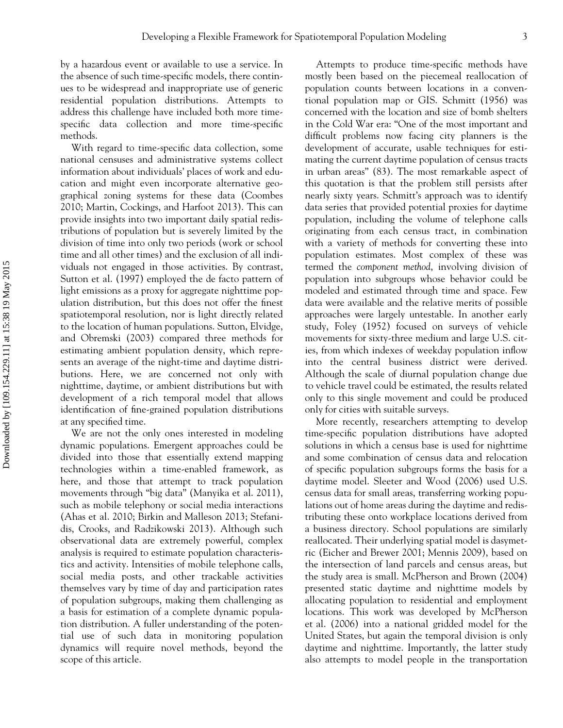by a hazardous event or available to use a service. In the absence of such time-specific models, there continues to be widespread and inappropriate use of generic residential population distributions. Attempts to address this challenge have included both more timespecific data collection and more time-specific methods.

With regard to time-specific data collection, some national censuses and administrative systems collect information about individuals' places of work and education and might even incorporate alternative geographical zoning systems for these data (Coombes 2010; Martin, Cockings, and Harfoot 2013). This can provide insights into two important daily spatial redistributions of population but is severely limited by the division of time into only two periods (work or school time and all other times) and the exclusion of all individuals not engaged in those activities. By contrast, Sutton et al. (1997) employed the de facto pattern of light emissions as a proxy for aggregate nighttime population distribution, but this does not offer the finest spatiotemporal resolution, nor is light directly related to the location of human populations. Sutton, Elvidge, and Obremski (2003) compared three methods for estimating ambient population density, which represents an average of the night-time and daytime distributions. Here, we are concerned not only with nighttime, daytime, or ambient distributions but with development of a rich temporal model that allows identification of fine-grained population distributions at any specified time.

We are not the only ones interested in modeling dynamic populations. Emergent approaches could be divided into those that essentially extend mapping technologies within a time-enabled framework, as here, and those that attempt to track population movements through "big data" (Manyika et al. 2011), such as mobile telephony or social media interactions (Ahas et al. 2010; Birkin and Malleson 2013; Stefanidis, Crooks, and Radzikowski 2013). Although such observational data are extremely powerful, complex analysis is required to estimate population characteristics and activity. Intensities of mobile telephone calls, social media posts, and other trackable activities themselves vary by time of day and participation rates of population subgroups, making them challenging as a basis for estimation of a complete dynamic population distribution. A fuller understanding of the potential use of such data in monitoring population dynamics will require novel methods, beyond the scope of this article.

Attempts to produce time-specific methods have mostly been based on the piecemeal reallocation of population counts between locations in a conventional population map or GIS. Schmitt (1956) was concerned with the location and size of bomb shelters in the Cold War era: "One of the most important and difficult problems now facing city planners is the development of accurate, usable techniques for estimating the current daytime population of census tracts in urban areas" (83). The most remarkable aspect of this quotation is that the problem still persists after nearly sixty years. Schmitt's approach was to identify data series that provided potential proxies for daytime population, including the volume of telephone calls originating from each census tract, in combination with a variety of methods for converting these into population estimates. Most complex of these was termed the component method, involving division of population into subgroups whose behavior could be modeled and estimated through time and space. Few data were available and the relative merits of possible approaches were largely untestable. In another early study, Foley (1952) focused on surveys of vehicle movements for sixty-three medium and large U.S. cities, from which indexes of weekday population inflow into the central business district were derived. Although the scale of diurnal population change due to vehicle travel could be estimated, the results related only to this single movement and could be produced only for cities with suitable surveys.

More recently, researchers attempting to develop time-specific population distributions have adopted solutions in which a census base is used for nighttime and some combination of census data and relocation of specific population subgroups forms the basis for a daytime model. Sleeter and Wood (2006) used U.S. census data for small areas, transferring working populations out of home areas during the daytime and redistributing these onto workplace locations derived from a business directory. School populations are similarly reallocated. Their underlying spatial model is dasymetric (Eicher and Brewer 2001; Mennis 2009), based on the intersection of land parcels and census areas, but the study area is small. McPherson and Brown (2004) presented static daytime and nighttime models by allocating population to residential and employment locations. This work was developed by McPherson et al. (2006) into a national gridded model for the United States, but again the temporal division is only daytime and nighttime. Importantly, the latter study also attempts to model people in the transportation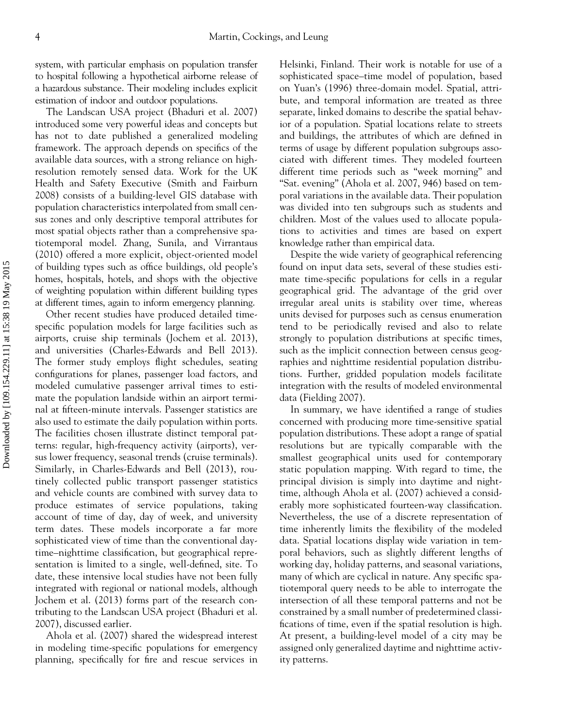system, with particular emphasis on population transfer to hospital following a hypothetical airborne release of a hazardous substance. Their modeling includes explicit estimation of indoor and outdoor populations.

The Landscan USA project (Bhaduri et al. 2007) introduced some very powerful ideas and concepts but has not to date published a generalized modeling framework. The approach depends on specifics of the available data sources, with a strong reliance on highresolution remotely sensed data. Work for the UK Health and Safety Executive (Smith and Fairburn 2008) consists of a building-level GIS database with population characteristics interpolated from small census zones and only descriptive temporal attributes for most spatial objects rather than a comprehensive spatiotemporal model. Zhang, Sunila, and Virrantaus (2010) offered a more explicit, object-oriented model of building types such as office buildings, old people's homes, hospitals, hotels, and shops with the objective of weighting population within different building types at different times, again to inform emergency planning.

Other recent studies have produced detailed timespecific population models for large facilities such as airports, cruise ship terminals (Jochem et al. 2013), and universities (Charles-Edwards and Bell 2013). The former study employs flight schedules, seating configurations for planes, passenger load factors, and modeled cumulative passenger arrival times to estimate the population landside within an airport terminal at fifteen-minute intervals. Passenger statistics are also used to estimate the daily population within ports. The facilities chosen illustrate distinct temporal patterns: regular, high-frequency activity (airports), versus lower frequency, seasonal trends (cruise terminals). Similarly, in Charles-Edwards and Bell (2013), routinely collected public transport passenger statistics and vehicle counts are combined with survey data to produce estimates of service populations, taking account of time of day, day of week, and university term dates. These models incorporate a far more sophisticated view of time than the conventional daytime–nighttime classification, but geographical representation is limited to a single, well-defined, site. To date, these intensive local studies have not been fully integrated with regional or national models, although Jochem et al. (2013) forms part of the research contributing to the Landscan USA project (Bhaduri et al. 2007), discussed earlier.

Ahola et al. (2007) shared the widespread interest in modeling time-specific populations for emergency planning, specifically for fire and rescue services in Helsinki, Finland. Their work is notable for use of a sophisticated space–time model of population, based on Yuan's (1996) three-domain model. Spatial, attribute, and temporal information are treated as three separate, linked domains to describe the spatial behavior of a population. Spatial locations relate to streets and buildings, the attributes of which are defined in terms of usage by different population subgroups associated with different times. They modeled fourteen different time periods such as "week morning" and "Sat. evening" (Ahola et al. 2007, 946) based on temporal variations in the available data. Their population was divided into ten subgroups such as students and children. Most of the values used to allocate populations to activities and times are based on expert knowledge rather than empirical data.

Despite the wide variety of geographical referencing found on input data sets, several of these studies estimate time-specific populations for cells in a regular geographical grid. The advantage of the grid over irregular areal units is stability over time, whereas units devised for purposes such as census enumeration tend to be periodically revised and also to relate strongly to population distributions at specific times, such as the implicit connection between census geographies and nighttime residential population distributions. Further, gridded population models facilitate integration with the results of modeled environmental data (Fielding 2007).

In summary, we have identified a range of studies concerned with producing more time-sensitive spatial population distributions. These adopt a range of spatial resolutions but are typically comparable with the smallest geographical units used for contemporary static population mapping. With regard to time, the principal division is simply into daytime and nighttime, although Ahola et al. (2007) achieved a considerably more sophisticated fourteen-way classification. Nevertheless, the use of a discrete representation of time inherently limits the flexibility of the modeled data. Spatial locations display wide variation in temporal behaviors, such as slightly different lengths of working day, holiday patterns, and seasonal variations, many of which are cyclical in nature. Any specific spatiotemporal query needs to be able to interrogate the intersection of all these temporal patterns and not be constrained by a small number of predetermined classifications of time, even if the spatial resolution is high. At present, a building-level model of a city may be assigned only generalized daytime and nighttime activity patterns.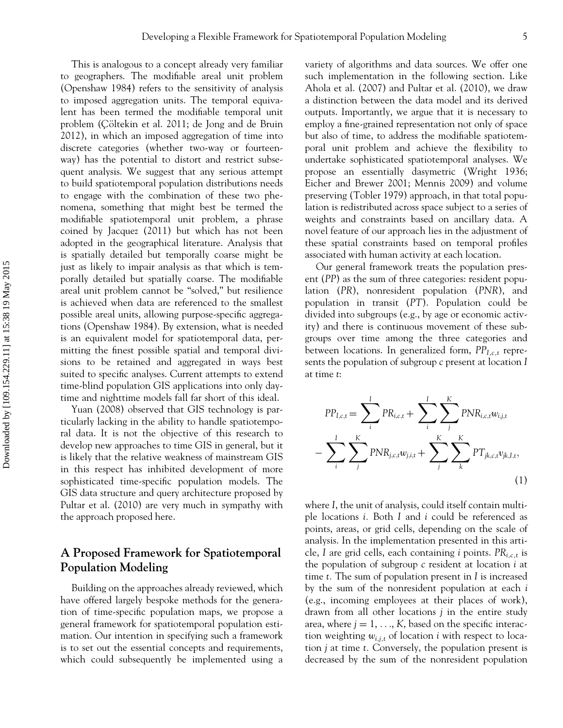This is analogous to a concept already very familiar to geographers. The modifiable areal unit problem (Openshaw 1984) refers to the sensitivity of analysis to imposed aggregation units. The temporal equivalent has been termed the modifiable temporal unit problem (Çöltekin et al. 2011; de Jong and de Bruin 2012), in which an imposed aggregation of time into discrete categories (whether two-way or fourteenway) has the potential to distort and restrict subsequent analysis. We suggest that any serious attempt to build spatiotemporal population distributions needs to engage with the combination of these two phenomena, something that might best be termed the modifiable spatiotemporal unit problem, a phrase coined by Jacquez (2011) but which has not been adopted in the geographical literature. Analysis that is spatially detailed but temporally coarse might be just as likely to impair analysis as that which is temporally detailed but spatially coarse. The modifiable areal unit problem cannot be "solved," but resilience is achieved when data are referenced to the smallest possible areal units, allowing purpose-specific aggregations (Openshaw 1984). By extension, what is needed is an equivalent model for spatiotemporal data, permitting the finest possible spatial and temporal divisions to be retained and aggregated in ways best suited to specific analyses. Current attempts to extend time-blind population GIS applications into only daytime and nighttime models fall far short of this ideal.

Yuan (2008) observed that GIS technology is particularly lacking in the ability to handle spatiotemporal data. It is not the objective of this research to develop new approaches to time GIS in general, but it is likely that the relative weakness of mainstream GIS in this respect has inhibited development of more sophisticated time-specific population models. The GIS data structure and query architecture proposed by Pultar et al. (2010) are very much in sympathy with the approach proposed here.

## A Proposed Framework for Spatiotemporal Population Modeling

Building on the approaches already reviewed, which have offered largely bespoke methods for the generation of time-specific population maps, we propose a general framework for spatiotemporal population estimation. Our intention in specifying such a framework is to set out the essential concepts and requirements, which could subsequently be implemented using a variety of algorithms and data sources. We offer one such implementation in the following section. Like Ahola et al. (2007) and Pultar et al. (2010), we draw a distinction between the data model and its derived outputs. Importantly, we argue that it is necessary to employ a fine-grained representation not only of space but also of time, to address the modifiable spatiotemporal unit problem and achieve the flexibility to undertake sophisticated spatiotemporal analyses. We propose an essentially dasymetric (Wright 1936; Eicher and Brewer 2001; Mennis 2009) and volume preserving (Tobler 1979) approach, in that total population is redistributed across space subject to a series of weights and constraints based on ancillary data. A novel feature of our approach lies in the adjustment of these spatial constraints based on temporal profiles associated with human activity at each location.

Our general framework treats the population present (PP) as the sum of three categories: resident population (PR), nonresident population (PNR), and population in transit (PT). Population could be divided into subgroups (e.g., by age or economic activity) and there is continuous movement of these subgroups over time among the three categories and between locations. In generalized form,  $PP_{I,c,t}$  represents the population of subgroup c present at location I at time t:

$$
PP_{I,c,t} = \sum_{i}^{I} PR_{i,c,t} + \sum_{i}^{I} \sum_{j}^{K} PNR_{i,c,t} w_{i,j,t}
$$

$$
- \sum_{i}^{I} \sum_{j}^{K} PNR_{j,c,t} w_{j,i,t} + \sum_{j}^{K} \sum_{k}^{K} PT_{jk,c,t} v_{jk,I,t},
$$
(1)

where I, the unit of analysis, could itself contain multiple locations i. Both I and i could be referenced as points, areas, or grid cells, depending on the scale of analysis. In the implementation presented in this article, I are grid cells, each containing *i* points.  $PR_{i,c,t}$  is the population of subgroup  $c$  resident at location  $i$  at time  $t$ . The sum of population present in  $I$  is increased by the sum of the nonresident population at each i (e.g., incoming employees at their places of work), drawn from all other locations j in the entire study area, where  $j = 1, ..., K$ , based on the specific interaction weighting  $w_{i,j,t}$  of location *i* with respect to location j at time t. Conversely, the population present is decreased by the sum of the nonresident population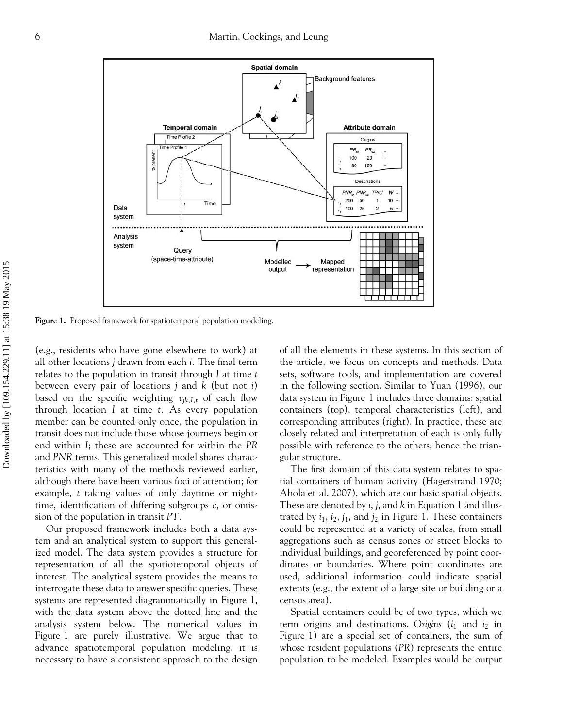

Figure 1. Proposed framework for spatiotemporal population modeling.

(e.g., residents who have gone elsewhere to work) at all other locations j drawn from each i. The final term relates to the population in transit through  $I$  at time  $t$ between every pair of locations *j* and *k* (but not *i*) based on the specific weighting  $v_{jk,I,t}$  of each flow through location  $I$  at time  $t$ . As every population member can be counted only once, the population in transit does not include those whose journeys begin or end within I; these are accounted for within the PR and PNR terms. This generalized model shares characteristics with many of the methods reviewed earlier, although there have been various foci of attention; for example, t taking values of only daytime or nighttime, identification of differing subgroups c, or omission of the population in transit PT.

Our proposed framework includes both a data system and an analytical system to support this generalized model. The data system provides a structure for representation of all the spatiotemporal objects of interest. The analytical system provides the means to interrogate these data to answer specific queries. These systems are represented diagrammatically in Figure 1, with the data system above the dotted line and the analysis system below. The numerical values in Figure 1 are purely illustrative. We argue that to advance spatiotemporal population modeling, it is necessary to have a consistent approach to the design

of all the elements in these systems. In this section of the article, we focus on concepts and methods. Data sets, software tools, and implementation are covered in the following section. Similar to Yuan (1996), our data system in Figure 1 includes three domains: spatial containers (top), temporal characteristics (left), and corresponding attributes (right). In practice, these are closely related and interpretation of each is only fully possible with reference to the others; hence the triangular structure.

The first domain of this data system relates to spatial containers of human activity (Hagerstrand 1970; Ahola et al. 2007), which are our basic spatial objects. These are denoted by  $i$ ,  $j$ , and  $k$  in Equation 1 and illustrated by  $i_1$ ,  $i_2$ ,  $j_1$ , and  $j_2$  in Figure 1. These containers could be represented at a variety of scales, from small aggregations such as census zones or street blocks to individual buildings, and georeferenced by point coordinates or boundaries. Where point coordinates are used, additional information could indicate spatial extents (e.g., the extent of a large site or building or a census area).

Spatial containers could be of two types, which we term origins and destinations. Origins  $(i_1 \text{ and } i_2 \text{ in})$ Figure 1) are a special set of containers, the sum of whose resident populations (PR) represents the entire population to be modeled. Examples would be output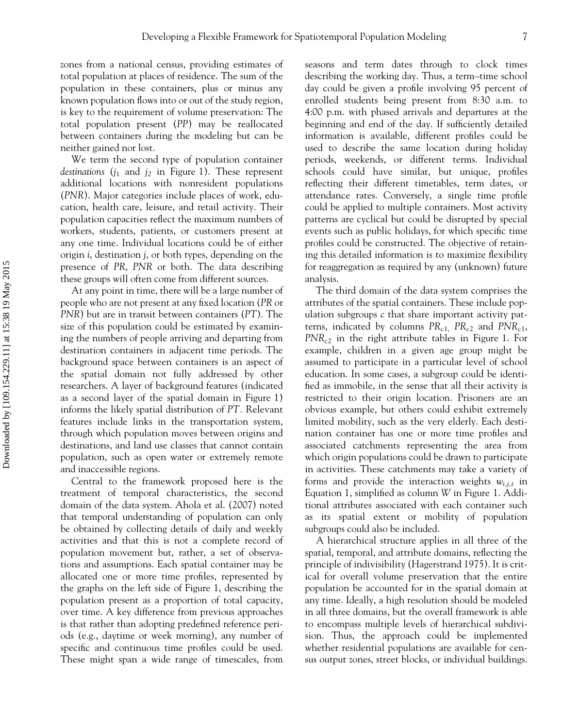zones from a national census, providing estimates of total population at places of residence. The sum of the population in these containers, plus or minus any known population flows into or out of the study region, is key to the requirement of volume preservation: The total population present (PP) may be reallocated between containers during the modeling but can be neither gained nor lost.

We term the second type of population container destinations  $(j_1$  and  $j_2$  in Figure 1). These represent additional locations with nonresident populations (PNR). Major categories include places of work, education, health care, leisure, and retail activity. Their population capacities reflect the maximum numbers of workers, students, patients, or customers present at any one time. Individual locations could be of either origin i, destination j, or both types, depending on the presence of PR, PNR or both. The data describing these groups will often come from different sources.

At any point in time, there will be a large number of people who are not present at any fixed location (PR or PNR) but are in transit between containers (PT). The size of this population could be estimated by examining the numbers of people arriving and departing from destination containers in adjacent time periods. The background space between containers is an aspect of the spatial domain not fully addressed by other researchers. A layer of background features (indicated as a second layer of the spatial domain in Figure 1) informs the likely spatial distribution of PT. Relevant features include links in the transportation system, through which population moves between origins and destinations, and land use classes that cannot contain population, such as open water or extremely remote and inaccessible regions.

Central to the framework proposed here is the treatment of temporal characteristics, the second domain of the data system. Ahola et al. (2007) noted that temporal understanding of population can only be obtained by collecting details of daily and weekly activities and that this is not a complete record of population movement but, rather, a set of observations and assumptions. Each spatial container may be allocated one or more time profiles, represented by the graphs on the left side of Figure 1, describing the population present as a proportion of total capacity, over time. A key difference from previous approaches is that rather than adopting predefined reference periods (e.g., daytime or week morning), any number of specific and continuous time profiles could be used. These might span a wide range of timescales, from

seasons and term dates through to clock times describing the working day. Thus, a term–time school day could be given a profile involving 95 percent of enrolled students being present from 8:30 a.m. to 4:00 p.m. with phased arrivals and departures at the beginning and end of the day. If sufficiently detailed information is available, different profiles could be used to describe the same location during holiday periods, weekends, or different terms. Individual schools could have similar, but unique, profiles reflecting their different timetables, term dates, or attendance rates. Conversely, a single time profile could be applied to multiple containers. Most activity patterns are cyclical but could be disrupted by special events such as public holidays, for which specific time profiles could be constructed. The objective of retaining this detailed information is to maximize flexibility for reaggregation as required by any (unknown) future analysis.

The third domain of the data system comprises the attributes of the spatial containers. These include population subgroups c that share important activity patterns, indicated by columns  $PR_{c1}$ ,  $PR_{c2}$  and  $PNR_{c1}$ ,  $PNR_{c2}$  in the right attribute tables in Figure 1. For example, children in a given age group might be assumed to participate in a particular level of school education. In some cases, a subgroup could be identified as immobile, in the sense that all their activity is restricted to their origin location. Prisoners are an obvious example, but others could exhibit extremely limited mobility, such as the very elderly. Each destination container has one or more time profiles and associated catchments representing the area from which origin populations could be drawn to participate in activities. These catchments may take a variety of forms and provide the interaction weights  $w_{i,j,t}$  in Equation 1, simplified as column W in Figure 1. Additional attributes associated with each container such as its spatial extent or mobility of population subgroups could also be included.

A hierarchical structure applies in all three of the spatial, temporal, and attribute domains, reflecting the principle of indivisibility (Hagerstrand 1975). It is critical for overall volume preservation that the entire population be accounted for in the spatial domain at any time. Ideally, a high resolution should be modeled in all three domains, but the overall framework is able to encompass multiple levels of hierarchical subdivision. Thus, the approach could be implemented whether residential populations are available for census output zones, street blocks, or individual buildings.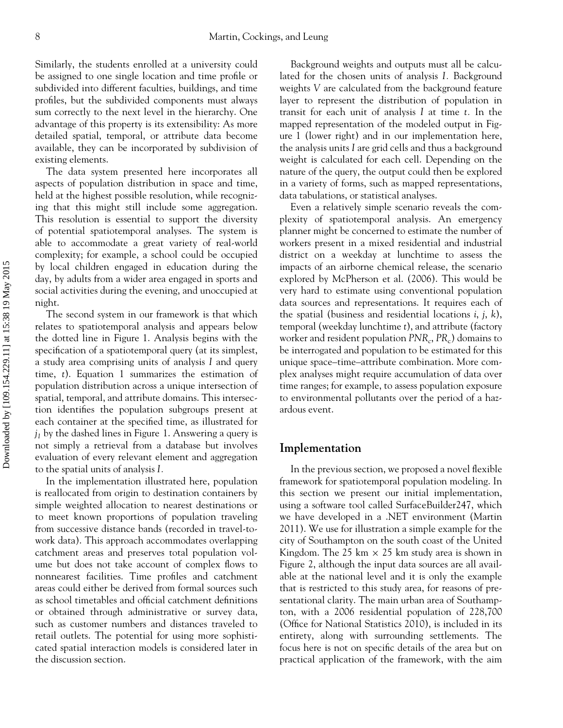Similarly, the students enrolled at a university could be assigned to one single location and time profile or subdivided into different faculties, buildings, and time profiles, but the subdivided components must always sum correctly to the next level in the hierarchy. One advantage of this property is its extensibility: As more detailed spatial, temporal, or attribute data become available, they can be incorporated by subdivision of existing elements.

The data system presented here incorporates all aspects of population distribution in space and time, held at the highest possible resolution, while recognizing that this might still include some aggregation. This resolution is essential to support the diversity of potential spatiotemporal analyses. The system is able to accommodate a great variety of real-world complexity; for example, a school could be occupied by local children engaged in education during the day, by adults from a wider area engaged in sports and social activities during the evening, and unoccupied at night.

The second system in our framework is that which relates to spatiotemporal analysis and appears below the dotted line in Figure 1. Analysis begins with the specification of a spatiotemporal query (at its simplest, a study area comprising units of analysis I and query time, t). Equation 1 summarizes the estimation of population distribution across a unique intersection of spatial, temporal, and attribute domains. This intersection identifies the population subgroups present at each container at the specified time, as illustrated for  $j_1$  by the dashed lines in Figure 1. Answering a query is not simply a retrieval from a database but involves evaluation of every relevant element and aggregation to the spatial units of analysis I.

In the implementation illustrated here, population is reallocated from origin to destination containers by simple weighted allocation to nearest destinations or to meet known proportions of population traveling from successive distance bands (recorded in travel-towork data). This approach accommodates overlapping catchment areas and preserves total population volume but does not take account of complex flows to nonnearest facilities. Time profiles and catchment areas could either be derived from formal sources such as school timetables and official catchment definitions or obtained through administrative or survey data, such as customer numbers and distances traveled to retail outlets. The potential for using more sophisticated spatial interaction models is considered later in the discussion section.

Background weights and outputs must all be calculated for the chosen units of analysis I. Background weights V are calculated from the background feature layer to represent the distribution of population in transit for each unit of analysis I at time t. In the mapped representation of the modeled output in Figure 1 (lower right) and in our implementation here, the analysis units I are grid cells and thus a background weight is calculated for each cell. Depending on the nature of the query, the output could then be explored in a variety of forms, such as mapped representations, data tabulations, or statistical analyses.

Even a relatively simple scenario reveals the complexity of spatiotemporal analysis. An emergency planner might be concerned to estimate the number of workers present in a mixed residential and industrial district on a weekday at lunchtime to assess the impacts of an airborne chemical release, the scenario explored by McPherson et al. (2006). This would be very hard to estimate using conventional population data sources and representations. It requires each of the spatial (business and residential locations *i*, *j*, *k*), temporal (weekday lunchtime t), and attribute (factory worker and resident population  $PNR_c$ ,  $PR_c$ ) domains to be interrogated and population to be estimated for this unique space–time–attribute combination. More complex analyses might require accumulation of data over time ranges; for example, to assess population exposure to environmental pollutants over the period of a hazardous event.

#### Implementation

In the previous section, we proposed a novel flexible framework for spatiotemporal population modeling. In this section we present our initial implementation, using a software tool called SurfaceBuilder247, which we have developed in a .NET environment (Martin 2011). We use for illustration a simple example for the city of Southampton on the south coast of the United Kingdom. The 25 km  $\times$  25 km study area is shown in Figure 2, although the input data sources are all available at the national level and it is only the example that is restricted to this study area, for reasons of presentational clarity. The main urban area of Southampton, with a 2006 residential population of 228,700 (Office for National Statistics 2010), is included in its entirety, along with surrounding settlements. The focus here is not on specific details of the area but on practical application of the framework, with the aim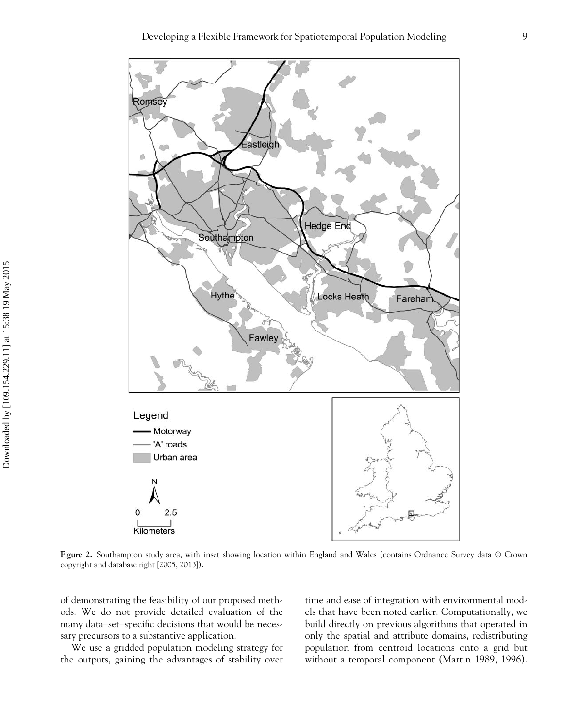

Figure 2. Southampton study area, with inset showing location within England and Wales (contains Ordnance Survey data @ Crown copyright and database right [2005, 2013]).

of demonstrating the feasibility of our proposed methods. We do not provide detailed evaluation of the many data–set–specific decisions that would be necessary precursors to a substantive application.

We use a gridded population modeling strategy for the outputs, gaining the advantages of stability over time and ease of integration with environmental models that have been noted earlier. Computationally, we build directly on previous algorithms that operated in only the spatial and attribute domains, redistributing population from centroid locations onto a grid but without a temporal component (Martin 1989, 1996).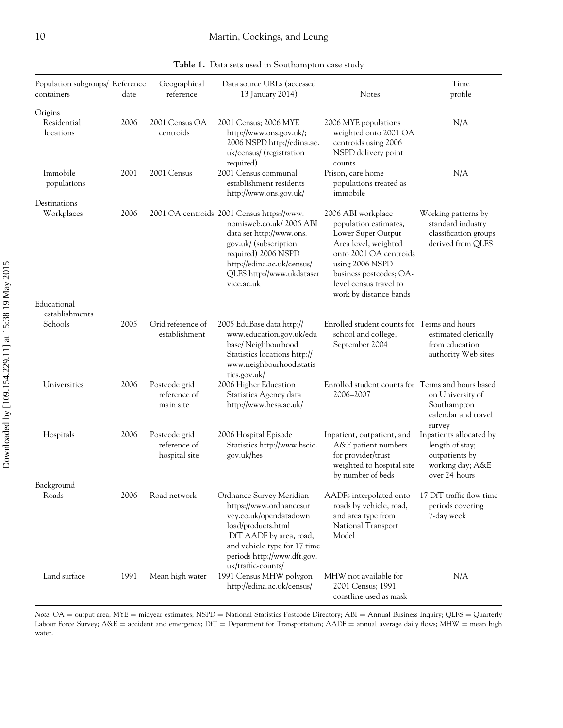| Population subgroups/ Reference<br>containers | date | Geographical<br>reference                      | Data source URLs (accessed<br>13 January 2014)                                                                                                                                                                             | Notes                                                                                                                                                                                                                 | Time<br>profile                                                                                   |
|-----------------------------------------------|------|------------------------------------------------|----------------------------------------------------------------------------------------------------------------------------------------------------------------------------------------------------------------------------|-----------------------------------------------------------------------------------------------------------------------------------------------------------------------------------------------------------------------|---------------------------------------------------------------------------------------------------|
| Origins<br>Residential<br>locations           | 2006 | 2001 Census OA<br>centroids                    | 2001 Census; 2006 MYE                                                                                                                                                                                                      | 2006 MYE populations                                                                                                                                                                                                  | N/A                                                                                               |
| Immobile<br>populations                       | 2001 | 2001 Census                                    | http://www.ons.gov.uk/;<br>2006 NSPD http://edina.ac.<br>uk/census/ (registration<br>required)<br>2001 Census communal<br>establishment residents<br>http://www.ons.gov.uk/                                                | weighted onto 2001 OA<br>centroids using 2006<br>NSPD delivery point<br>counts<br>Prison, care home<br>populations treated as<br>immobile                                                                             | N/A                                                                                               |
| Destinations                                  |      |                                                |                                                                                                                                                                                                                            |                                                                                                                                                                                                                       |                                                                                                   |
| Workplaces                                    | 2006 |                                                | 2001 OA centroids 2001 Census https://www.<br>nomisweb.co.uk/2006 ABI<br>data set http://www.ons.<br>gov.uk/ (subscription<br>required) 2006 NSPD<br>http://edina.ac.uk/census/<br>QLFS http://www.ukdataser<br>vice.ac.uk | 2006 ABI workplace<br>population estimates,<br>Lower Super Output<br>Area level, weighted<br>onto 2001 OA centroids<br>using 2006 NSPD<br>business postcodes; OA-<br>level census travel to<br>work by distance bands | Working patterns by<br>standard industry<br>classification groups<br>derived from QLFS            |
| Educational                                   |      |                                                |                                                                                                                                                                                                                            |                                                                                                                                                                                                                       |                                                                                                   |
| establishments<br>Schools                     | 2005 | Grid reference of                              | 2005 EduBase data http://                                                                                                                                                                                                  | Enrolled student counts for Terms and hours                                                                                                                                                                           |                                                                                                   |
|                                               |      | establishment                                  | www.education.gov.uk/edu<br>base/Neighbourhood<br>Statistics locations http://<br>www.neighbourhood.statis<br>tics.gov.uk/                                                                                                 | school and college,<br>September 2004                                                                                                                                                                                 | estimated clerically<br>from education<br>authority Web sites                                     |
| Universities                                  | 2006 | Postcode grid<br>reference of<br>main site     | 2006 Higher Education<br>Statistics Agency data<br>http://www.hesa.ac.uk/                                                                                                                                                  | Enrolled student counts for Terms and hours based<br>2006-2007                                                                                                                                                        | on University of<br>Southampton<br>calendar and travel<br>survey                                  |
| Hospitals                                     | 2006 | Postcode grid<br>reference of<br>hospital site | 2006 Hospital Episode<br>Statistics http://www.hscic.<br>gov.uk/hes                                                                                                                                                        | Inpatient, outpatient, and<br>A&E patient numbers<br>for provider/trust<br>weighted to hospital site<br>by number of beds                                                                                             | Inpatients allocated by<br>length of stay;<br>outpatients by<br>working day; A&E<br>over 24 hours |
| Background<br>Roads                           | 2006 | Road network                                   | Ordnance Survey Meridian<br>https://www.ordnancesur<br>vey.co.uk/opendatadown<br>load/products.html<br>DfT AADF by area, road,<br>and vehicle type for 17 time<br>periods http://www.dft.gov.<br>uk/traffic-counts/        | AADFs interpolated onto<br>roads by vehicle, road,<br>and area type from<br>National Transport<br>Model                                                                                                               | 17 DfT traffic flow time<br>periods covering<br>7-day week                                        |
| Land surface                                  | 1991 | Mean high water                                | 1991 Census MHW polygon<br>http://edina.ac.uk/census/                                                                                                                                                                      | MHW not available for<br>2001 Census; 1991<br>coastline used as mask                                                                                                                                                  | N/A                                                                                               |

| Table 1. Data sets used in Southampton case study |  |
|---------------------------------------------------|--|
|---------------------------------------------------|--|

Note:  $OA =$  output area,  $MYE =$  midyear estimates;  $NSPD =$  National Statistics Postcode Directory;  $ABI =$  Annual Business Inquiry;  $QLFS =$  Quarterly Labour Force Survey;  $A\&E$  = accident and emergency; DfT = Department for Transportation;  $AADF$  = annual average daily flows; MHW = mean high water.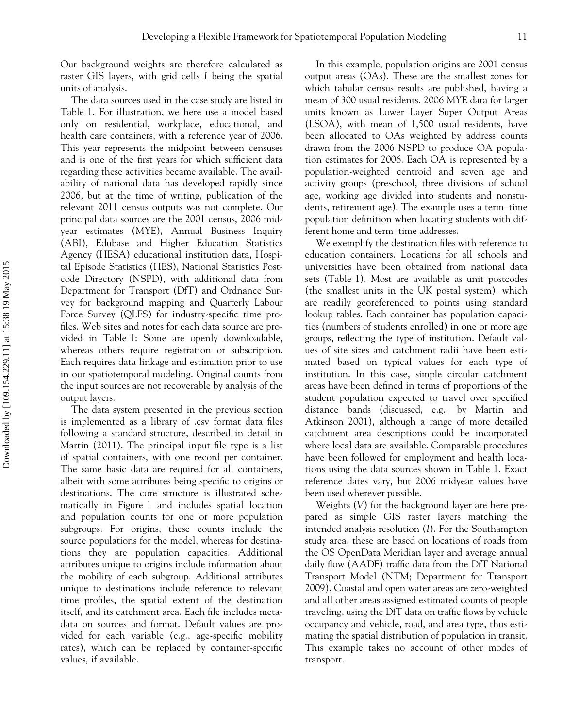Our background weights are therefore calculated as raster GIS layers, with grid cells I being the spatial units of analysis.

The data sources used in the case study are listed in Table 1. For illustration, we here use a model based only on residential, workplace, educational, and health care containers, with a reference year of 2006. This year represents the midpoint between censuses and is one of the first years for which sufficient data regarding these activities became available. The availability of national data has developed rapidly since 2006, but at the time of writing, publication of the relevant 2011 census outputs was not complete. Our principal data sources are the 2001 census, 2006 midyear estimates (MYE), Annual Business Inquiry (ABI), Edubase and Higher Education Statistics Agency (HESA) educational institution data, Hospital Episode Statistics (HES), National Statistics Postcode Directory (NSPD), with additional data from Department for Transport (DfT) and Ordnance Survey for background mapping and Quarterly Labour Force Survey (QLFS) for industry-specific time profiles. Web sites and notes for each data source are provided in Table 1: Some are openly downloadable, whereas others require registration or subscription. Each requires data linkage and estimation prior to use in our spatiotemporal modeling. Original counts from the input sources are not recoverable by analysis of the output layers.

The data system presented in the previous section is implemented as a library of .csv format data files following a standard structure, described in detail in Martin (2011). The principal input file type is a list of spatial containers, with one record per container. The same basic data are required for all containers, albeit with some attributes being specific to origins or destinations. The core structure is illustrated schematically in Figure 1 and includes spatial location and population counts for one or more population subgroups. For origins, these counts include the source populations for the model, whereas for destinations they are population capacities. Additional attributes unique to origins include information about the mobility of each subgroup. Additional attributes unique to destinations include reference to relevant time profiles, the spatial extent of the destination itself, and its catchment area. Each file includes metadata on sources and format. Default values are provided for each variable (e.g., age-specific mobility rates), which can be replaced by container-specific values, if available.

In this example, population origins are 2001 census output areas (OAs). These are the smallest zones for which tabular census results are published, having a mean of 300 usual residents. 2006 MYE data for larger units known as Lower Layer Super Output Areas (LSOA), with mean of 1,500 usual residents, have been allocated to OAs weighted by address counts drawn from the 2006 NSPD to produce OA population estimates for 2006. Each OA is represented by a population-weighted centroid and seven age and activity groups (preschool, three divisions of school age, working age divided into students and nonstudents, retirement age). The example uses a term–time population definition when locating students with different home and term–time addresses.

We exemplify the destination files with reference to education containers. Locations for all schools and universities have been obtained from national data sets (Table 1). Most are available as unit postcodes (the smallest units in the UK postal system), which are readily georeferenced to points using standard lookup tables. Each container has population capacities (numbers of students enrolled) in one or more age groups, reflecting the type of institution. Default values of site sizes and catchment radii have been estimated based on typical values for each type of institution. In this case, simple circular catchment areas have been defined in terms of proportions of the student population expected to travel over specified distance bands (discussed, e.g., by Martin and Atkinson 2001), although a range of more detailed catchment area descriptions could be incorporated where local data are available. Comparable procedures have been followed for employment and health locations using the data sources shown in Table 1. Exact reference dates vary, but 2006 midyear values have been used wherever possible.

Weights (V) for the background layer are here prepared as simple GIS raster layers matching the intended analysis resolution (I). For the Southampton study area, these are based on locations of roads from the OS OpenData Meridian layer and average annual daily flow (AADF) traffic data from the DfT National Transport Model (NTM; Department for Transport 2009). Coastal and open water areas are zero-weighted and all other areas assigned estimated counts of people traveling, using the DfT data on traffic flows by vehicle occupancy and vehicle, road, and area type, thus estimating the spatial distribution of population in transit. This example takes no account of other modes of transport.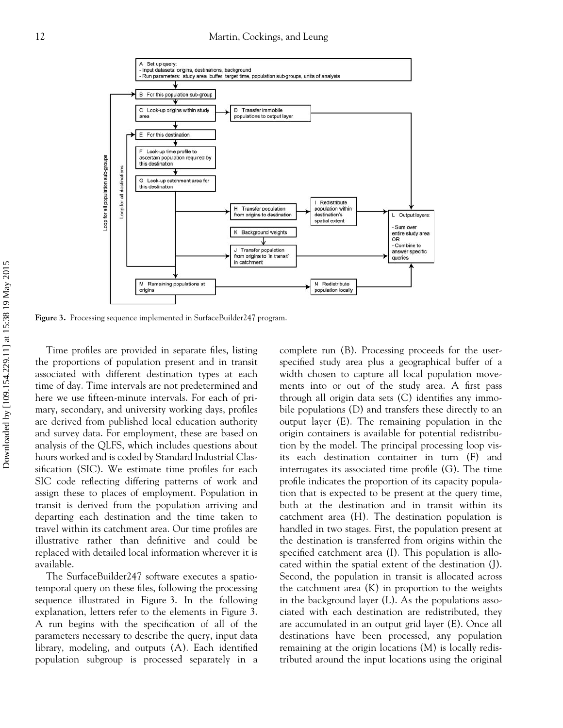

Figure 3. Processing sequence implemented in SurfaceBuilder247 program.

Time profiles are provided in separate files, listing the proportions of population present and in transit associated with different destination types at each time of day. Time intervals are not predetermined and here we use fifteen-minute intervals. For each of primary, secondary, and university working days, profiles are derived from published local education authority and survey data. For employment, these are based on analysis of the QLFS, which includes questions about hours worked and is coded by Standard Industrial Classification (SIC). We estimate time profiles for each SIC code reflecting differing patterns of work and assign these to places of employment. Population in transit is derived from the population arriving and departing each destination and the time taken to travel within its catchment area. Our time profiles are illustrative rather than definitive and could be replaced with detailed local information wherever it is available.

The SurfaceBuilder247 software executes a spatiotemporal query on these files, following the processing sequence illustrated in Figure 3. In the following explanation, letters refer to the elements in Figure 3. A run begins with the specification of all of the parameters necessary to describe the query, input data library, modeling, and outputs (A). Each identified population subgroup is processed separately in a complete run (B). Processing proceeds for the userspecified study area plus a geographical buffer of a width chosen to capture all local population movements into or out of the study area. A first pass through all origin data sets (C) identifies any immobile populations (D) and transfers these directly to an output layer (E). The remaining population in the origin containers is available for potential redistribution by the model. The principal processing loop visits each destination container in turn (F) and interrogates its associated time profile (G). The time profile indicates the proportion of its capacity population that is expected to be present at the query time, both at the destination and in transit within its catchment area (H). The destination population is handled in two stages. First, the population present at the destination is transferred from origins within the specified catchment area (I). This population is allocated within the spatial extent of the destination (J). Second, the population in transit is allocated across the catchment area (K) in proportion to the weights in the background layer (L). As the populations associated with each destination are redistributed, they are accumulated in an output grid layer (E). Once all destinations have been processed, any population remaining at the origin locations (M) is locally redistributed around the input locations using the original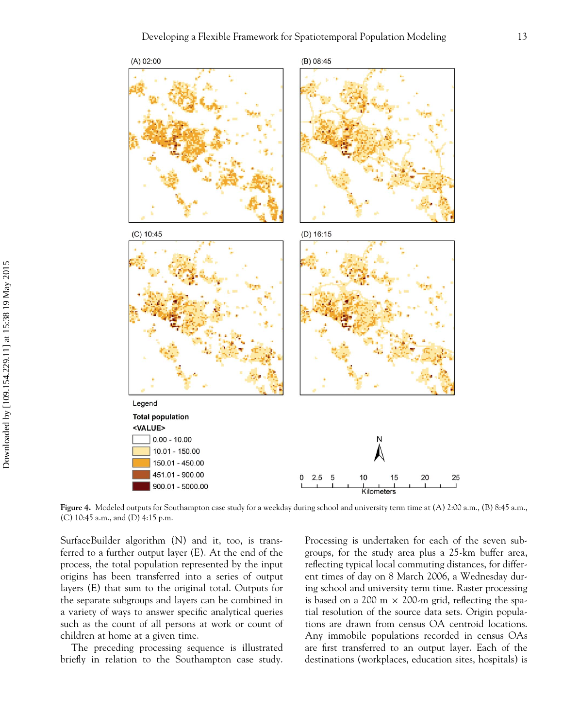

Figure 4. Modeled outputs for Southampton case study for a weekday during school and university term time at (A) 2:00 a.m., (B) 8:45 a.m., (C) 10:45 a.m., and (D) 4:15 p.m.

SurfaceBuilder algorithm (N) and it, too, is transferred to a further output layer (E). At the end of the process, the total population represented by the input origins has been transferred into a series of output layers (E) that sum to the original total. Outputs for the separate subgroups and layers can be combined in a variety of ways to answer specific analytical queries such as the count of all persons at work or count of children at home at a given time.

The preceding processing sequence is illustrated briefly in relation to the Southampton case study.

Processing is undertaken for each of the seven subgroups, for the study area plus a 25-km buffer area, reflecting typical local commuting distances, for different times of day on 8 March 2006, a Wednesday during school and university term time. Raster processing is based on a 200 m  $\times$  200-m grid, reflecting the spatial resolution of the source data sets. Origin populations are drawn from census OA centroid locations. Any immobile populations recorded in census OAs are first transferred to an output layer. Each of the destinations (workplaces, education sites, hospitals) is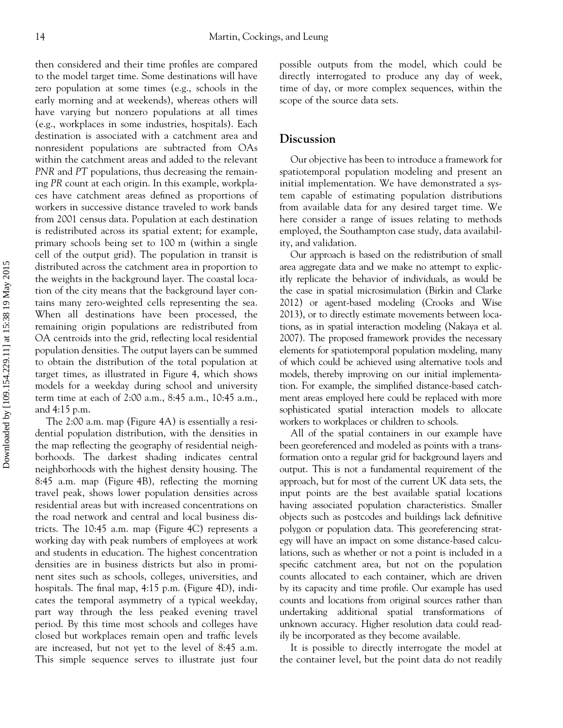then considered and their time profiles are compared to the model target time. Some destinations will have zero population at some times (e.g., schools in the early morning and at weekends), whereas others will have varying but nonzero populations at all times (e.g., workplaces in some industries, hospitals). Each destination is associated with a catchment area and nonresident populations are subtracted from OAs within the catchment areas and added to the relevant PNR and PT populations, thus decreasing the remaining PR count at each origin. In this example, workplaces have catchment areas defined as proportions of workers in successive distance traveled to work bands from 2001 census data. Population at each destination is redistributed across its spatial extent; for example, primary schools being set to 100 m (within a single cell of the output grid). The population in transit is distributed across the catchment area in proportion to the weights in the background layer. The coastal location of the city means that the background layer contains many zero-weighted cells representing the sea. When all destinations have been processed, the remaining origin populations are redistributed from OA centroids into the grid, reflecting local residential population densities. The output layers can be summed to obtain the distribution of the total population at target times, as illustrated in Figure 4, which shows models for a weekday during school and university term time at each of 2:00 a.m., 8:45 a.m., 10:45 a.m., and 4:15 p.m.

The 2:00 a.m. map (Figure 4A) is essentially a residential population distribution, with the densities in the map reflecting the geography of residential neighborhoods. The darkest shading indicates central neighborhoods with the highest density housing. The 8:45 a.m. map (Figure 4B), reflecting the morning travel peak, shows lower population densities across residential areas but with increased concentrations on the road network and central and local business districts. The 10:45 a.m. map (Figure 4C) represents a working day with peak numbers of employees at work and students in education. The highest concentration densities are in business districts but also in prominent sites such as schools, colleges, universities, and hospitals. The final map, 4:15 p.m. (Figure 4D), indicates the temporal asymmetry of a typical weekday, part way through the less peaked evening travel period. By this time most schools and colleges have closed but workplaces remain open and traffic levels are increased, but not yet to the level of 8:45 a.m. This simple sequence serves to illustrate just four possible outputs from the model, which could be directly interrogated to produce any day of week, time of day, or more complex sequences, within the scope of the source data sets.

#### **Discussion**

Our objective has been to introduce a framework for spatiotemporal population modeling and present an initial implementation. We have demonstrated a system capable of estimating population distributions from available data for any desired target time. We here consider a range of issues relating to methods employed, the Southampton case study, data availability, and validation.

Our approach is based on the redistribution of small area aggregate data and we make no attempt to explicitly replicate the behavior of individuals, as would be the case in spatial microsimulation (Birkin and Clarke 2012) or agent-based modeling (Crooks and Wise 2013), or to directly estimate movements between locations, as in spatial interaction modeling (Nakaya et al. 2007). The proposed framework provides the necessary elements for spatiotemporal population modeling, many of which could be achieved using alternative tools and models, thereby improving on our initial implementation. For example, the simplified distance-based catchment areas employed here could be replaced with more sophisticated spatial interaction models to allocate workers to workplaces or children to schools.

All of the spatial containers in our example have been georeferenced and modeled as points with a transformation onto a regular grid for background layers and output. This is not a fundamental requirement of the approach, but for most of the current UK data sets, the input points are the best available spatial locations having associated population characteristics. Smaller objects such as postcodes and buildings lack definitive polygon or population data. This georeferencing strategy will have an impact on some distance-based calculations, such as whether or not a point is included in a specific catchment area, but not on the population counts allocated to each container, which are driven by its capacity and time profile. Our example has used counts and locations from original sources rather than undertaking additional spatial transformations of unknown accuracy. Higher resolution data could readily be incorporated as they become available.

It is possible to directly interrogate the model at the container level, but the point data do not readily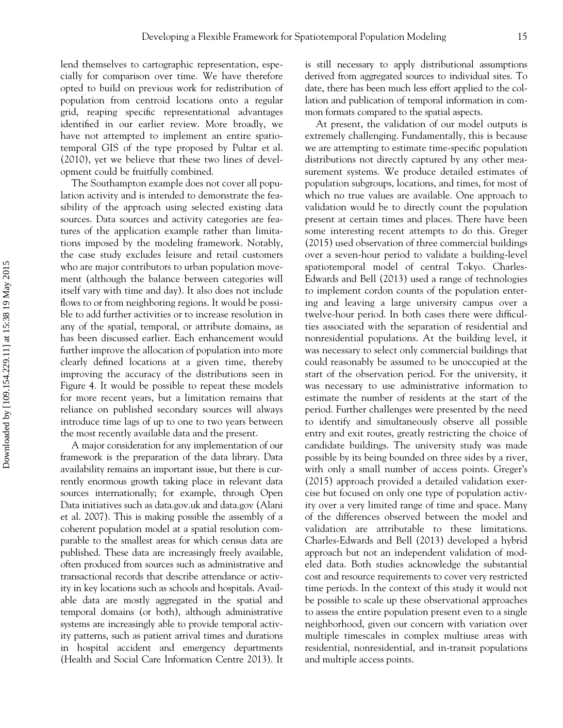lend themselves to cartographic representation, especially for comparison over time. We have therefore opted to build on previous work for redistribution of population from centroid locations onto a regular grid, reaping specific representational advantages identified in our earlier review. More broadly, we have not attempted to implement an entire spatiotemporal GIS of the type proposed by Pultar et al. (2010), yet we believe that these two lines of development could be fruitfully combined.

The Southampton example does not cover all population activity and is intended to demonstrate the feasibility of the approach using selected existing data sources. Data sources and activity categories are features of the application example rather than limitations imposed by the modeling framework. Notably, the case study excludes leisure and retail customers who are major contributors to urban population movement (although the balance between categories will itself vary with time and day). It also does not include flows to or from neighboring regions. It would be possible to add further activities or to increase resolution in any of the spatial, temporal, or attribute domains, as has been discussed earlier. Each enhancement would further improve the allocation of population into more clearly defined locations at a given time, thereby improving the accuracy of the distributions seen in Figure 4. It would be possible to repeat these models for more recent years, but a limitation remains that reliance on published secondary sources will always introduce time lags of up to one to two years between the most recently available data and the present.

A major consideration for any implementation of our framework is the preparation of the data library. Data availability remains an important issue, but there is currently enormous growth taking place in relevant data sources internationally; for example, through Open Data initiatives such as data.gov.uk and data.gov (Alani et al. 2007). This is making possible the assembly of a coherent population model at a spatial resolution comparable to the smallest areas for which census data are published. These data are increasingly freely available, often produced from sources such as administrative and transactional records that describe attendance or activity in key locations such as schools and hospitals. Available data are mostly aggregated in the spatial and temporal domains (or both), although administrative systems are increasingly able to provide temporal activity patterns, such as patient arrival times and durations in hospital accident and emergency departments (Health and Social Care Information Centre 2013). It

is still necessary to apply distributional assumptions derived from aggregated sources to individual sites. To date, there has been much less effort applied to the collation and publication of temporal information in common formats compared to the spatial aspects.

At present, the validation of our model outputs is extremely challenging. Fundamentally, this is because we are attempting to estimate time-specific population distributions not directly captured by any other measurement systems. We produce detailed estimates of population subgroups, locations, and times, for most of which no true values are available. One approach to validation would be to directly count the population present at certain times and places. There have been some interesting recent attempts to do this. Greger (2015) used observation of three commercial buildings over a seven-hour period to validate a building-level spatiotemporal model of central Tokyo. Charles-Edwards and Bell (2013) used a range of technologies to implement cordon counts of the population entering and leaving a large university campus over a twelve-hour period. In both cases there were difficulties associated with the separation of residential and nonresidential populations. At the building level, it was necessary to select only commercial buildings that could reasonably be assumed to be unoccupied at the start of the observation period. For the university, it was necessary to use administrative information to estimate the number of residents at the start of the period. Further challenges were presented by the need to identify and simultaneously observe all possible entry and exit routes, greatly restricting the choice of candidate buildings. The university study was made possible by its being bounded on three sides by a river, with only a small number of access points. Greger's (2015) approach provided a detailed validation exercise but focused on only one type of population activity over a very limited range of time and space. Many of the differences observed between the model and validation are attributable to these limitations. Charles-Edwards and Bell (2013) developed a hybrid approach but not an independent validation of modeled data. Both studies acknowledge the substantial cost and resource requirements to cover very restricted time periods. In the context of this study it would not be possible to scale up these observational approaches to assess the entire population present even to a single neighborhood, given our concern with variation over multiple timescales in complex multiuse areas with residential, nonresidential, and in-transit populations and multiple access points.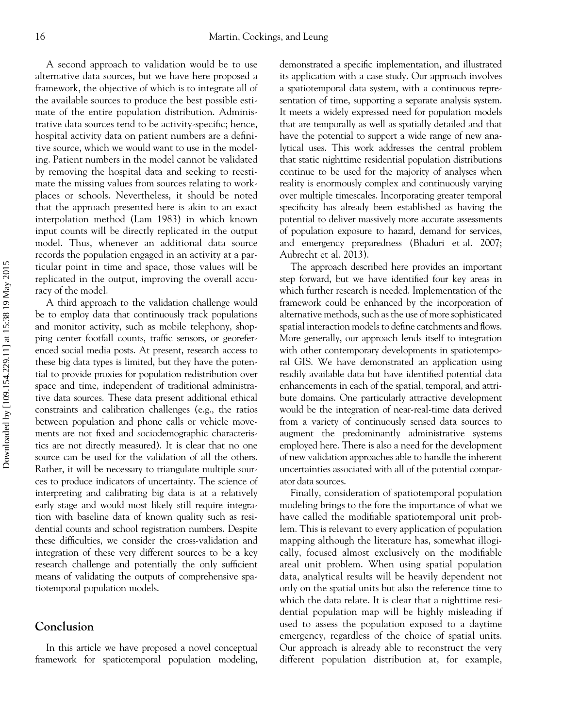A second approach to validation would be to use alternative data sources, but we have here proposed a framework, the objective of which is to integrate all of the available sources to produce the best possible estimate of the entire population distribution. Administrative data sources tend to be activity-specific; hence, hospital activity data on patient numbers are a definitive source, which we would want to use in the modeling. Patient numbers in the model cannot be validated by removing the hospital data and seeking to reestimate the missing values from sources relating to workplaces or schools. Nevertheless, it should be noted that the approach presented here is akin to an exact interpolation method (Lam 1983) in which known input counts will be directly replicated in the output model. Thus, whenever an additional data source records the population engaged in an activity at a particular point in time and space, those values will be replicated in the output, improving the overall accuracy of the model.

A third approach to the validation challenge would be to employ data that continuously track populations and monitor activity, such as mobile telephony, shopping center footfall counts, traffic sensors, or georeferenced social media posts. At present, research access to these big data types is limited, but they have the potential to provide proxies for population redistribution over space and time, independent of traditional administrative data sources. These data present additional ethical constraints and calibration challenges (e.g., the ratios between population and phone calls or vehicle movements are not fixed and sociodemographic characteristics are not directly measured). It is clear that no one source can be used for the validation of all the others. Rather, it will be necessary to triangulate multiple sources to produce indicators of uncertainty. The science of interpreting and calibrating big data is at a relatively early stage and would most likely still require integration with baseline data of known quality such as residential counts and school registration numbers. Despite these difficulties, we consider the cross-validation and integration of these very different sources to be a key research challenge and potentially the only sufficient means of validating the outputs of comprehensive spatiotemporal population models.

## Conclusion

In this article we have proposed a novel conceptual framework for spatiotemporal population modeling, demonstrated a specific implementation, and illustrated its application with a case study. Our approach involves a spatiotemporal data system, with a continuous representation of time, supporting a separate analysis system. It meets a widely expressed need for population models that are temporally as well as spatially detailed and that have the potential to support a wide range of new analytical uses. This work addresses the central problem that static nighttime residential population distributions continue to be used for the majority of analyses when reality is enormously complex and continuously varying over multiple timescales. Incorporating greater temporal specificity has already been established as having the potential to deliver massively more accurate assessments of population exposure to hazard, demand for services, and emergency preparedness (Bhaduri et al. 2007; Aubrecht et al. 2013).

The approach described here provides an important step forward, but we have identified four key areas in which further research is needed. Implementation of the framework could be enhanced by the incorporation of alternative methods, such as the use of more sophisticated spatial interaction models to define catchments and flows. More generally, our approach lends itself to integration with other contemporary developments in spatiotemporal GIS. We have demonstrated an application using readily available data but have identified potential data enhancements in each of the spatial, temporal, and attribute domains. One particularly attractive development would be the integration of near-real-time data derived from a variety of continuously sensed data sources to augment the predominantly administrative systems employed here. There is also a need for the development of new validation approaches able to handle the inherent uncertainties associated with all of the potential comparator data sources.

Finally, consideration of spatiotemporal population modeling brings to the fore the importance of what we have called the modifiable spatiotemporal unit problem. This is relevant to every application of population mapping although the literature has, somewhat illogically, focused almost exclusively on the modifiable areal unit problem. When using spatial population data, analytical results will be heavily dependent not only on the spatial units but also the reference time to which the data relate. It is clear that a nighttime residential population map will be highly misleading if used to assess the population exposed to a daytime emergency, regardless of the choice of spatial units. Our approach is already able to reconstruct the very different population distribution at, for example,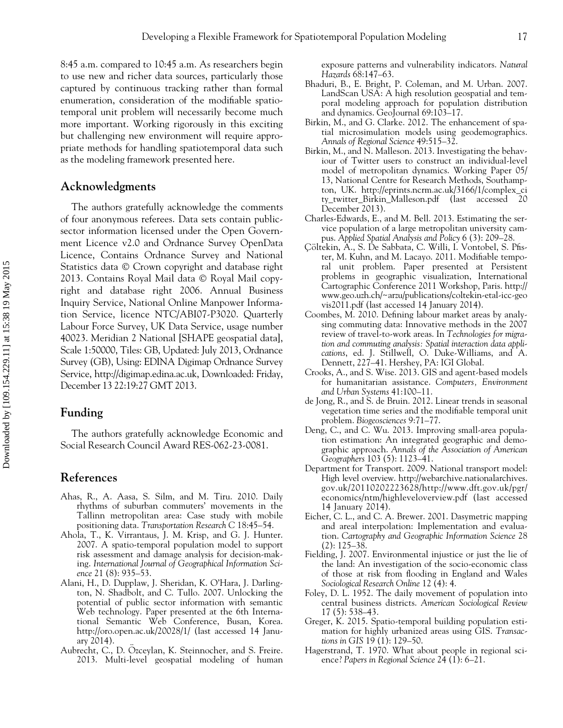8:45 a.m. compared to 10:45 a.m. As researchers begin to use new and richer data sources, particularly those captured by continuous tracking rather than formal enumeration, consideration of the modifiable spatiotemporal unit problem will necessarily become much more important. Working rigorously in this exciting but challenging new environment will require appropriate methods for handling spatiotemporal data such as the modeling framework presented here.

### Acknowledgments

The authors gratefully acknowledge the comments of four anonymous referees. Data sets contain publicsector information licensed under the Open Government Licence v2.0 and Ordnance Survey OpenData Licence, Contains Ordnance Survey and National Statistics data © Crown copyright and database right 2013. Contains Royal Mail data © Royal Mail copyright and database right 2006. Annual Business Inquiry Service, National Online Manpower Information Service, licence NTC/ABI07-P3020. Quarterly Labour Force Survey, UK Data Service, usage number 40023. Meridian 2 National [SHAPE geospatial data], Scale 1:50000, Tiles: GB, Updated: July 2013, Ordnance Survey (GB), Using: EDINA Digimap Ordnance Survey Service, http://digimap.edina.ac.uk, Downloaded: Friday, December 13 22:19:27 GMT 2013.

## Funding

The authors gratefully acknowledge Economic and Social Research Council Award RES-062-23-0081.

## References

- Ahas, R., A. Aasa, S. Silm, and M. Tiru. 2010. Daily rhythms of suburban commuters' movements in the Tallinn metropolitan area: Case study with mobile positioning data. Transportation Research C 18:45–54.
- Ahola, T., K. Virrantaus, J. M. Krisp, and G. J. Hunter. 2007. A spatio-temporal population model to support risk assessment and damage analysis for decision-making. International Journal of Geographical Information Science 21 (8): 935–53.
- Alani, H., D. Dupplaw, J. Sheridan, K. O'Hara, J. Darlington, N. Shadbolt, and C. Tullo. 2007. Unlocking the potential of public sector information with semantic Web technology. Paper presented at the 6th International Semantic Web Conference, Busan, Korea. [http://oro.open.ac.uk/20028/1/ \(last accessed 14 Janu](http://oro.open.ac.uk/20028/1/)[ary 2014\).](http://oro.open.ac.uk/20028/1/)
- Aubrecht, C., D. Ozceylan, K. Steinnocher, and S. Freire. 2013. Multi-level geospatial modeling of human

exposure patterns and vulnerability indicators. Natural Hazards 68:147–63.

- Bhaduri, B., E. Bright, P. Coleman, and M. Urban. 2007. LandScan USA: A high resolution geospatial and temporal modeling approach for population distribution and dynamics. GeoJournal 69:103–17.
- Birkin, M., and G. Clarke. 2012. The enhancement of spatial microsimulation models using geodemographics. Annals of Regional Science 49:515–32.
- Birkin, M., and N. Malleson. 2013. Investigating the behaviour of Twitter users to construct an individual-level model of metropolitan dynamics. Working Paper 05/ 13, National Centre for Research Methods, Southampton, UK. [http://eprints.ncrm.ac.uk/3166/1/complex\\_ci](http://eprints.ncrm.ac.uk/3166/1/complex_city_twitter_Birkin_Malleson.pdf) [ty\\_twitter\\_Birkin\\_Malleson.pdf \(last accessed 20](http://eprints.ncrm.ac.uk/3166/1/complex_city_twitter_Birkin_Malleson.pdf) [December 2013\).](http://eprints.ncrm.ac.uk/3166/1/complex_city_twitter_Birkin_Malleson.pdf)
- Charles-Edwards, E., and M. Bell. 2013. Estimating the service population of a large metropolitan university campus. Applied Spatial Analysis and Policy 6 (3): 209–28.
- Çöltekin, A., S. De Sabbata, C. Willi, I. Vontobel, S. Pfister, M. Kuhn, and M. Lacayo. 2011. Modifiable temporal unit problem. Paper presented at Persistent problems in geographic visualization, International Cartographic Conference 2011 Workshop, Paris. [http://](http://www.geo.uzh.ch/~arzu/publications/coltekin-etal-icc-geovis2011.pdf) [www.geo.uzh.ch/~arzu/publications/coltekin-etal-icc-geo](http://www.geo.uzh.ch/~arzu/publications/coltekin-etal-icc-geovis2011.pdf) [vis2011.pdf \(last accessed 14 January 2014\).](http://www.geo.uzh.ch/~arzu/publications/coltekin-etal-icc-geovis2011.pdf)
- Coombes, M. 2010. Defining labour market areas by analysing commuting data: Innovative methods in the 2007 review of travel-to-work areas. In Technologies for migration and commuting analysis: Spatial interaction data applications, ed. J. Stillwell, O. Duke-Williams, and A. Dennett, 227–41. Hershey, PA: IGI Global.
- Crooks, A., and S. Wise. 2013. GIS and agent-based models for humanitarian assistance. Computers, Environment and Urban Systems 41:100–11.
- de Jong, R., and S. de Bruin. 2012. Linear trends in seasonal vegetation time series and the modifiable temporal unit problem. Biogeosciences 9:71–77.
- Deng, C., and C. Wu. 2013. Improving small-area population estimation: An integrated geographic and demographic approach. Annals of the Association of American Geographers 103 (5): 1123–41.
- Department for Transport. 2009. National transport model: High level overview. [http://webarchive.nationalarchives.](http://webarchive.nationalarchives.gov.uk/20110202223628/http://www.dft.gov.uk/pgr/economics/ntm/highleveloverview.pdf) [gov.uk/20110202223628/http://www.dft.gov.uk/pgr/](http://webarchive.nationalarchives.gov.uk/20110202223628/http://www.dft.gov.uk/pgr/economics/ntm/highleveloverview.pdf) [economics/ntm/highleveloverview.pdf \(last accessed](http://webarchive.nationalarchives.gov.uk/20110202223628/http://www.dft.gov.uk/pgr/economics/ntm/highleveloverview.pdf) [14 January 2014\).](http://webarchive.nationalarchives.gov.uk/20110202223628/http://www.dft.gov.uk/pgr/economics/ntm/highleveloverview.pdf)
- Eicher, C. L., and C. A. Brewer. 2001. Dasymetric mapping and areal interpolation: Implementation and evaluation. Cartography and Geographic Information Science 28 (2): 125–38.
- Fielding, J. 2007. Environmental injustice or just the lie of the land: An investigation of the socio-economic class of those at risk from flooding in England and Wales Sociological Research Online 12 (4): 4.
- Foley, D. L. 1952. The daily movement of population into central business districts. American Sociological Review 17 (5): 538–43.
- Greger, K. 2015. Spatio-temporal building population estimation for highly urbanized areas using GIS. Transactions in GIS 19 (1): 129–50.
- Hagerstrand, T. 1970. What about people in regional science? Papers in Regional Science 24 (1): 6–21.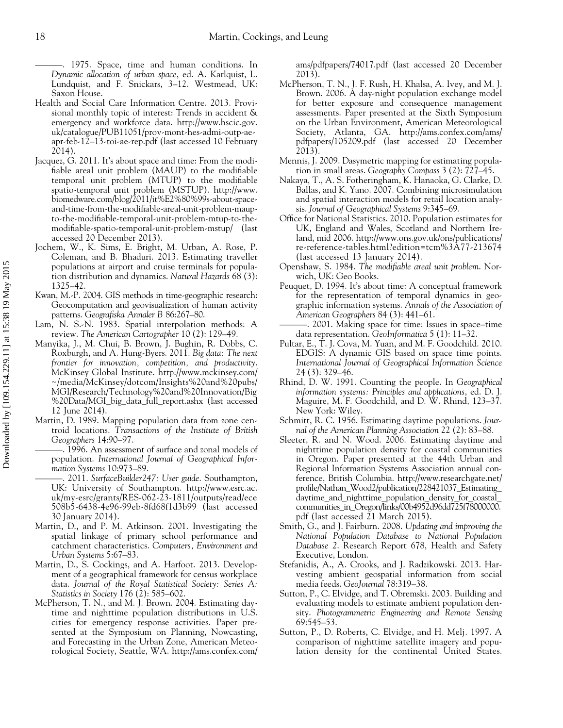1975. Space, time and human conditions. In Dynamic allocation of urban space, ed. A. Karlquist, L. Lundquist, and F. Snickars, 3–12. Westmead, UK: Saxon House.

- Health and Social Care Information Centre. 2013. Provisional monthly topic of interest: Trends in accident & emergency and workforce data. [http://www.hscic.gov.](http://www.hscic.gov.uk/catalogue/PUB11051/prov-mont-hes-admi-outp-ae-apr-feb-12--13-toi-ae-rep.pdf) [uk/catalogue/PUB11051/prov-mont-hes-admi-outp-ae](http://www.hscic.gov.uk/catalogue/PUB11051/prov-mont-hes-admi-outp-ae-apr-feb-12--13-toi-ae-rep.pdf)[apr-feb-12–13-toi-ae-rep.pdf \(last accessed 10 February](http://www.hscic.gov.uk/catalogue/PUB11051/prov-mont-hes-admi-outp-ae-apr-feb-12--13-toi-ae-rep.pdf) [2014\).](http://www.hscic.gov.uk/catalogue/PUB11051/prov-mont-hes-admi-outp-ae-apr-feb-12--13-toi-ae-rep.pdf)
- Jacquez, G. 2011. It's about space and time: From the modifiable areal unit problem (MAUP) to the modifiable temporal unit problem (MTUP) to the modifiable spatio-temporal unit problem (MSTUP). [http://www.](http://www.biomedware.com/blog/2011/it%E2%80%99s-about-space-and-time-from-the-modifiable-areal-unit-problem-maup-to-the-modifiable-temporal-unit-problem-mtup-to-the-modifiable-spatio-temporal-unit-problem-mstup/) [biomedware.com/blog/2011/it%E2%80%99s-about-space](http://www.biomedware.com/blog/2011/it%E2%80%99s-about-space-and-time-from-the-modifiable-areal-unit-problem-maup-to-the-modifiable-temporal-unit-problem-mtup-to-the-modifiable-spatio-temporal-unit-problem-mstup/)[and-time-from-the-modifiable-areal-unit-problem-maup](http://www.biomedware.com/blog/2011/it%E2%80%99s-about-space-and-time-from-the-modifiable-areal-unit-problem-maup-to-the-modifiable-temporal-unit-problem-mtup-to-the-modifiable-spatio-temporal-unit-problem-mstup/)[to-the-modifiable-temporal-unit-problem-mtup-to-the](http://www.biomedware.com/blog/2011/it%E2%80%99s-about-space-and-time-from-the-modifiable-areal-unit-problem-maup-to-the-modifiable-temporal-unit-problem-mtup-to-the-modifiable-spatio-temporal-unit-problem-mstup/)[modifiable-spatio-temporal-unit-problem-mstup/ \(last](http://www.biomedware.com/blog/2011/it%E2%80%99s-about-space-and-time-from-the-modifiable-areal-unit-problem-maup-to-the-modifiable-temporal-unit-problem-mtup-to-the-modifiable-spatio-temporal-unit-problem-mstup/) [accessed 20 December 2013\).](http://www.biomedware.com/blog/2011/it%E2%80%99s-about-space-and-time-from-the-modifiable-areal-unit-problem-maup-to-the-modifiable-temporal-unit-problem-mtup-to-the-modifiable-spatio-temporal-unit-problem-mstup/)
- Jochem, W., K. Sims, E. Bright, M. Urban, A. Rose, P. Coleman, and B. Bhaduri. 2013. Estimating traveller populations at airport and cruise terminals for population distribution and dynamics. Natural Hazards 68 (3): 1325–42.
- Kwan, M.-P. 2004. GIS methods in time-geographic research: Geocomputation and geovisualization of human activity patterns. Geografiska Annaler B 86:267–80.
- Lam, N. S.-N. 1983. Spatial interpolation methods: A review. The American Cartographer 10 (2): 129–49.
- Manyika, J., M. Chui, B. Brown, J. Bughin, R. Dobbs, C. Roxburgh, and A. Hung-Byers. 2011. Big data: The next frontier for innovation, competition, and productivity. McKinsey Global Institute. [http://www.mckinsey.com/](http://www.mckinsey.com/~/media/McKinsey/dotcom/Insights%20and%20pubs/MGI/Research/Technology%20and%20Innovation/Big%20Data/MGI_big_data_full_report.ashx) [~/media/McKinsey/dotcom/Insights%20and%20pubs/](http://www.mckinsey.com/~/media/McKinsey/dotcom/Insights%20and%20pubs/MGI/Research/Technology%20and%20Innovation/Big%20Data/MGI_big_data_full_report.ashx) [MGI/Research/Technology%20and%20Innovation/Big](http://www.mckinsey.com/~/media/McKinsey/dotcom/Insights%20and%20pubs/MGI/Research/Technology%20and%20Innovation/Big%20Data/MGI_big_data_full_report.ashx) [%20Data/MGI\\_big\\_data\\_full\\_report.ashx \(last accessed](http://www.mckinsey.com/~/media/McKinsey/dotcom/Insights%20and%20pubs/MGI/Research/Technology%20and%20Innovation/Big%20Data/MGI_big_data_full_report.ashx) [12 June 2014\).](http://www.mckinsey.com/~/media/McKinsey/dotcom/Insights%20and%20pubs/MGI/Research/Technology%20and%20Innovation/Big%20Data/MGI_big_data_full_report.ashx)
- Martin, D. 1989. Mapping population data from zone centroid locations. Transactions of the Institute of British Geographers 14:90–97.

1996. An assessment of surface and zonal models of population. International Journal of Geographical Information Systems 10:973–89.

- 2011. SurfaceBuilder247: User guide. Southampton, UK: University of Southampton. [http://www.esrc.ac.](http://www.esrc.ac.uk/my-esrc/grants/RES-062-23-1811/outputs/read/ece508b5-6438-4e96-99eb-8fd68f1d3b99) [uk/my-esrc/grants/RES-062-23-1811/outputs/read/ece](http://www.esrc.ac.uk/my-esrc/grants/RES-062-23-1811/outputs/read/ece508b5-6438-4e96-99eb-8fd68f1d3b99) [508b5-6438-4e96-99eb-8fd68f1d3b99 \(last accessed](http://www.esrc.ac.uk/my-esrc/grants/RES-062-23-1811/outputs/read/ece508b5-6438-4e96-99eb-8fd68f1d3b99) [30 January 2014\).](http://www.esrc.ac.uk/my-esrc/grants/RES-062-23-1811/outputs/read/ece508b5-6438-4e96-99eb-8fd68f1d3b99)
- Martin, D., and P. M. Atkinson. 2001. Investigating the spatial linkage of primary school performance and catchment characteristics. Computers, Environment and Urban Systems 5:67–83.
- Martin, D., S. Cockings, and A. Harfoot. 2013. Development of a geographical framework for census workplace data. Journal of the Royal Statistical Society: Series A: Statistics in Society 176 (2): 585–602.
- McPherson, T. N., and M. J. Brown. 2004. Estimating daytime and nighttime population distributions in U.S. cities for emergency response activities. Paper presented at the Symposium on Planning, Nowcasting, and Forecasting in the Urban Zone, American Meteorological Society, Seattle, WA. [http://ams.confex.com/](http://ams.confex.com/ams/pdfpapers/74017.pdf)

[ams/pdfpapers/74017.pdf \(last accessed 20 December](http://ams.confex.com/ams/pdfpapers/74017.pdf) [2013\).](http://ams.confex.com/ams/pdfpapers/74017.pdf)

- McPherson, T. N., J. F. Rush, H. Khalsa, A. Ivey, and M. J. Brown. 2006. A day-night population exchange model for better exposure and consequence management assessments. Paper presented at the Sixth Symposium on the Urban Environment, American Meteorological Society, Atlanta, GA. [http://ams.confex.com/ams/](http://ams.confex.com/ams/pdfpapers/105209.pdf) [pdfpapers/105209.pdf \(last accessed 20 December](http://ams.confex.com/ams/pdfpapers/105209.pdf) [2013\).](http://ams.confex.com/ams/pdfpapers/105209.pdf)
- Mennis, J. 2009. Dasymetric mapping for estimating population in small areas. Geography Compass 3 (2): 727–45.
- Nakaya, T., A. S. Fotheringham, K. Hanaoka, G. Clarke, D. Ballas, and K. Yano. 2007. Combining microsimulation and spatial interaction models for retail location analysis. Journal of Geographical Systems 9:345–69.
- Office for National Statistics. 2010. Population estimates for UK, England and Wales, Scotland and Northern Ireland, mid 2006. [http://www.ons.gov.uk/ons/publications/](http://www.ons.gov.uk/ons/publications/re-reference-tables.html?edition=tcm%3A77-213674) [re-reference-tables.html?edition=tcm%3A77-213674](http://www.ons.gov.uk/ons/publications/re-reference-tables.html?edition=tcm%3A77-213674) [\(last accessed 13 January 2014\).](http://www.ons.gov.uk/ons/publications/re-reference-tables.html?edition=tcm%3A77-213674)
- Openshaw, S. 1984. The modifiable areal unit problem. Norwich, UK: Geo Books.
- Peuquet, D. 1994. It's about time: A conceptual framework for the representation of temporal dynamics in geographic information systems. Annals of the Association of American Geographers 84 (3): 441–61.
- ———. 2001. Making space for time: Issues in space–time data representation. GeoInformatica 5 (1): 11–32.
- Pultar, E., T. J. Cova, M. Yuan, and M. F. Goodchild. 2010. EDGIS: A dynamic GIS based on space time points. International Journal of Geographical Information Science 24 (3): 329–46.
- Rhind, D. W. 1991. Counting the people. In Geographical information systems: Principles and applications, ed. D. J. Maguire, M. F. Goodchild, and D. W. Rhind, 123–37. New York: Wiley.
- Schmitt, R. C. 1956. Estimating daytime populations. Journal of the American Planning Association 22 (2): 83–88.
- Sleeter, R. and N. Wood. 2006. Estimating daytime and nighttime population density for coastal communities in Oregon. Paper presented at the 44th Urban and Regional Information Systems Association annual conference, British Columbia. http://www.researchgate.net/ profile/Nathan\_Wood2/publication/228421037\_Estimating\_ daytime\_and\_nighttime\_population\_density\_for\_coastal\_ communities\_in\_Oregon/links/00b4952d96dd725f78000000. pdf (last accessed 21 March 2015).
- Smith, G., and J. Fairburn. 2008. Updating and improving the National Population Database to National Population Database 2. Research Report 678, Health and Safety Executive, London.
- Stefanidis, A., A. Crooks, and J. Radzikowski. 2013. Harvesting ambient geospatial information from social media feeds. GeoJournal 78:319–38.
- Sutton, P., C. Elvidge, and T. Obremski. 2003. Building and evaluating models to estimate ambient population density. Photogrammetric Engineering and Remote Sensing 69:545–53.
- Sutton, P., D. Roberts, C. Elvidge, and H. Melj. 1997. A comparison of nighttime satellite imagery and population density for the continental United States.